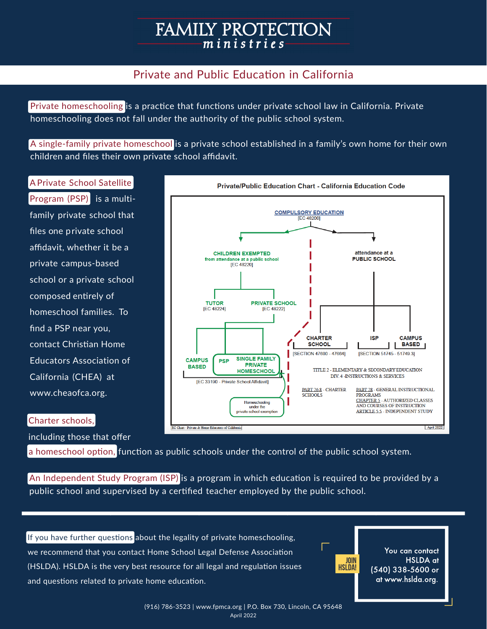# **FAMILY PROTECTION** ministries

# Private and Public Education in California

Private homeschooling is a practice that functions under private school law in California. Private homeschooling does not fall under the authority of the public school system.

A single-family private homeschool is a private school established in a family's own home for their own children and files their own private school affidavit.

A Private School Satellite

Program (PSP)is a multifamily private school that fles one p rivate school afdavit, whether it be a private campus-based school or a private school composed entrely of homeschool families. To fnd a PSP near you, contact Christan Home Educators Association of California (CHEA) at www.cheaofca.org.



#### Charter schools,

including those that offer

a homeschool option, function as public schools under the control of the public school system.

An Independent Study Program (ISP) is a program in which education is required to be provided by a public school and supervised by a certified teacher employed by the public school.

If you have further questions about the legality of private homeschooling, we recommend that you contact Home School Legal Defense Associaton (HSLDA). HSLDA is the very best resource for all legal and regulation issues and questions related to private home education.